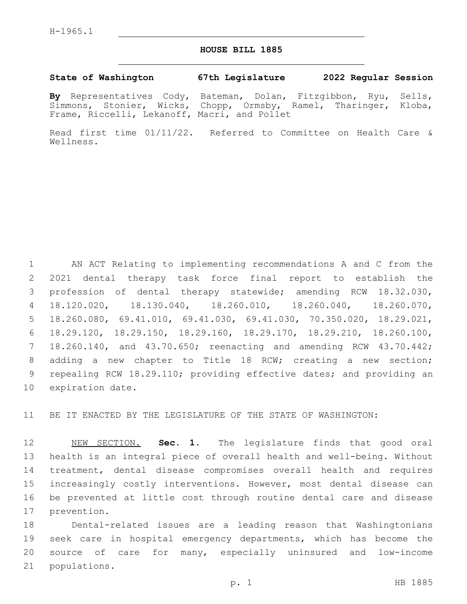## **HOUSE BILL 1885**

## **State of Washington 67th Legislature 2022 Regular Session**

**By** Representatives Cody, Bateman, Dolan, Fitzgibbon, Ryu, Sells, Simmons, Stonier, Wicks, Chopp, Ormsby, Ramel, Tharinger, Kloba, Frame, Riccelli, Lekanoff, Macri, and Pollet

Read first time 01/11/22. Referred to Committee on Health Care & Wellness.

 AN ACT Relating to implementing recommendations A and C from the 2021 dental therapy task force final report to establish the profession of dental therapy statewide; amending RCW 18.32.030, 18.120.020, 18.130.040, 18.260.010, 18.260.040, 18.260.070, 18.260.080, 69.41.010, 69.41.030, 69.41.030, 70.350.020, 18.29.021, 18.29.120, 18.29.150, 18.29.160, 18.29.170, 18.29.210, 18.260.100, 18.260.140, and 43.70.650; reenacting and amending RCW 43.70.442; adding a new chapter to Title 18 RCW; creating a new section; repealing RCW 18.29.110; providing effective dates; and providing an 10 expiration date.

BE IT ENACTED BY THE LEGISLATURE OF THE STATE OF WASHINGTON:

 NEW SECTION. **Sec. 1.** The legislature finds that good oral health is an integral piece of overall health and well-being. Without treatment, dental disease compromises overall health and requires increasingly costly interventions. However, most dental disease can be prevented at little cost through routine dental care and disease prevention.

 Dental-related issues are a leading reason that Washingtonians seek care in hospital emergency departments, which has become the source of care for many, especially uninsured and low-income 21 populations.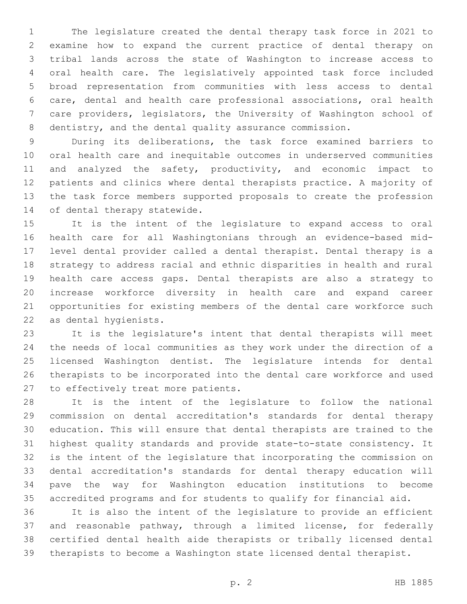The legislature created the dental therapy task force in 2021 to examine how to expand the current practice of dental therapy on tribal lands across the state of Washington to increase access to oral health care. The legislatively appointed task force included broad representation from communities with less access to dental care, dental and health care professional associations, oral health care providers, legislators, the University of Washington school of 8 dentistry, and the dental quality assurance commission.

 During its deliberations, the task force examined barriers to oral health care and inequitable outcomes in underserved communities and analyzed the safety, productivity, and economic impact to patients and clinics where dental therapists practice. A majority of the task force members supported proposals to create the profession 14 of dental therapy statewide.

 It is the intent of the legislature to expand access to oral health care for all Washingtonians through an evidence-based mid- level dental provider called a dental therapist. Dental therapy is a strategy to address racial and ethnic disparities in health and rural health care access gaps. Dental therapists are also a strategy to increase workforce diversity in health care and expand career opportunities for existing members of the dental care workforce such 22 as dental hygienists.

 It is the legislature's intent that dental therapists will meet the needs of local communities as they work under the direction of a licensed Washington dentist. The legislature intends for dental therapists to be incorporated into the dental care workforce and used 27 to effectively treat more patients.

 It is the intent of the legislature to follow the national commission on dental accreditation's standards for dental therapy education. This will ensure that dental therapists are trained to the highest quality standards and provide state-to-state consistency. It is the intent of the legislature that incorporating the commission on dental accreditation's standards for dental therapy education will pave the way for Washington education institutions to become accredited programs and for students to qualify for financial aid.

 It is also the intent of the legislature to provide an efficient and reasonable pathway, through a limited license, for federally certified dental health aide therapists or tribally licensed dental therapists to become a Washington state licensed dental therapist.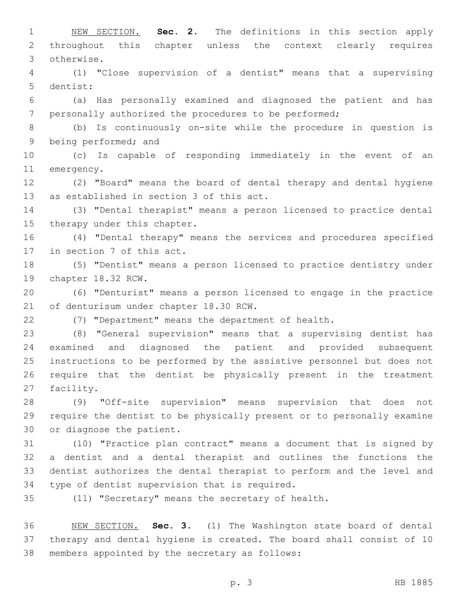NEW SECTION. **Sec. 2.** The definitions in this section apply throughout this chapter unless the context clearly requires otherwise. (1) "Close supervision of a dentist" means that a supervising 5 dentist: (a) Has personally examined and diagnosed the patient and has personally authorized the procedures to be performed; (b) Is continuously on-site while the procedure in question is 9 being performed; and (c) Is capable of responding immediately in the event of an 11 emergency. (2) "Board" means the board of dental therapy and dental hygiene 13 as established in section 3 of this act. (3) "Dental therapist" means a person licensed to practice dental 15 therapy under this chapter. (4) "Dental therapy" means the services and procedures specified 17 in section 7 of this act. (5) "Dentist" means a person licensed to practice dentistry under 19 chapter 18.32 RCW. (6) "Denturist" means a person licensed to engage in the practice 21 of denturisum under chapter 18.30 RCW. (7) "Department" means the department of health. (8) "General supervision" means that a supervising dentist has examined and diagnosed the patient and provided subsequent instructions to be performed by the assistive personnel but does not require that the dentist be physically present in the treatment 27 facility. (9) "Off-site supervision" means supervision that does not require the dentist to be physically present or to personally examine 30 or diagnose the patient. (10) "Practice plan contract" means a document that is signed by a dentist and a dental therapist and outlines the functions the dentist authorizes the dental therapist to perform and the level and 34 type of dentist supervision that is required. (11) "Secretary" means the secretary of health. NEW SECTION. **Sec. 3.** (1) The Washington state board of dental therapy and dental hygiene is created. The board shall consist of 10 members appointed by the secretary as follows:

p. 3 HB 1885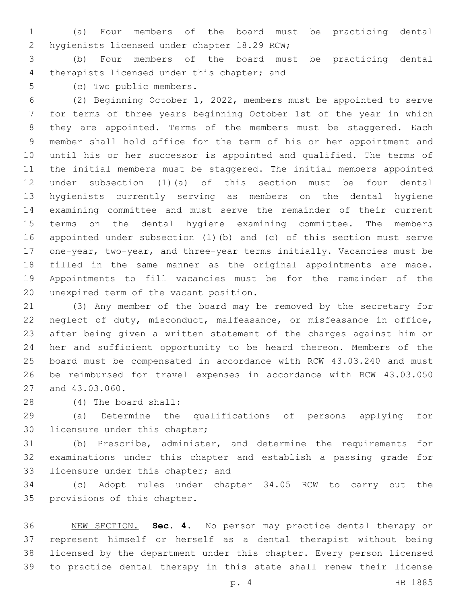(a) Four members of the board must be practicing dental 2 hygienists licensed under chapter 18.29 RCW;

 (b) Four members of the board must be practicing dental 4 therapists licensed under this chapter; and

(c) Two public members.5

 (2) Beginning October 1, 2022, members must be appointed to serve for terms of three years beginning October 1st of the year in which they are appointed. Terms of the members must be staggered. Each member shall hold office for the term of his or her appointment and until his or her successor is appointed and qualified. The terms of the initial members must be staggered. The initial members appointed under subsection (1)(a) of this section must be four dental hygienists currently serving as members on the dental hygiene examining committee and must serve the remainder of their current terms on the dental hygiene examining committee. The members appointed under subsection (1)(b) and (c) of this section must serve one-year, two-year, and three-year terms initially. Vacancies must be filled in the same manner as the original appointments are made. Appointments to fill vacancies must be for the remainder of the 20 unexpired term of the vacant position.

 (3) Any member of the board may be removed by the secretary for neglect of duty, misconduct, malfeasance, or misfeasance in office, after being given a written statement of the charges against him or her and sufficient opportunity to be heard thereon. Members of the board must be compensated in accordance with RCW 43.03.240 and must be reimbursed for travel expenses in accordance with RCW 43.03.050 27 and 43.03.060.

(4) The board shall:28

 (a) Determine the qualifications of persons applying for 30 licensure under this chapter;

 (b) Prescribe, administer, and determine the requirements for examinations under this chapter and establish a passing grade for 33 licensure under this chapter; and

 (c) Adopt rules under chapter 34.05 RCW to carry out the 35 provisions of this chapter.

 NEW SECTION. **Sec. 4.** No person may practice dental therapy or represent himself or herself as a dental therapist without being licensed by the department under this chapter. Every person licensed to practice dental therapy in this state shall renew their license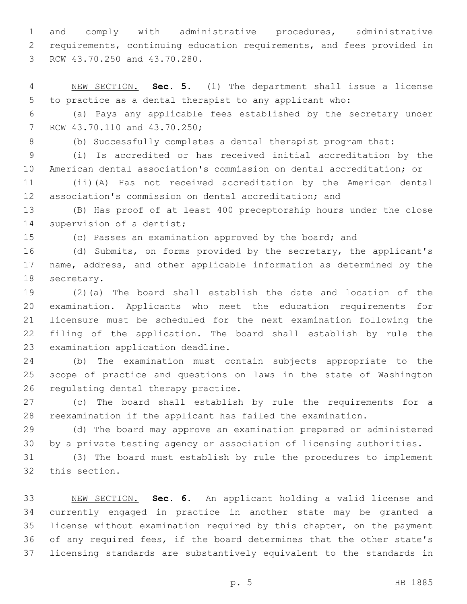and comply with administrative procedures, administrative requirements, continuing education requirements, and fees provided in 3 RCW 43.70.250 and 43.70.280.

 NEW SECTION. **Sec. 5.** (1) The department shall issue a license to practice as a dental therapist to any applicant who:

 (a) Pays any applicable fees established by the secretary under 7 RCW 43.70.110 and 43.70.250;

(b) Successfully completes a dental therapist program that:

 (i) Is accredited or has received initial accreditation by the American dental association's commission on dental accreditation; or

 (ii)(A) Has not received accreditation by the American dental association's commission on dental accreditation; and

 (B) Has proof of at least 400 preceptorship hours under the close 14 supervision of a dentist;

(c) Passes an examination approved by the board; and

 (d) Submits, on forms provided by the secretary, the applicant's name, address, and other applicable information as determined by the 18 secretary.

 (2)(a) The board shall establish the date and location of the examination. Applicants who meet the education requirements for licensure must be scheduled for the next examination following the filing of the application. The board shall establish by rule the 23 examination application deadline.

 (b) The examination must contain subjects appropriate to the scope of practice and questions on laws in the state of Washington 26 regulating dental therapy practice.

 (c) The board shall establish by rule the requirements for a reexamination if the applicant has failed the examination.

 (d) The board may approve an examination prepared or administered by a private testing agency or association of licensing authorities.

 (3) The board must establish by rule the procedures to implement 32 this section.

 NEW SECTION. **Sec. 6.** An applicant holding a valid license and currently engaged in practice in another state may be granted a license without examination required by this chapter, on the payment of any required fees, if the board determines that the other state's licensing standards are substantively equivalent to the standards in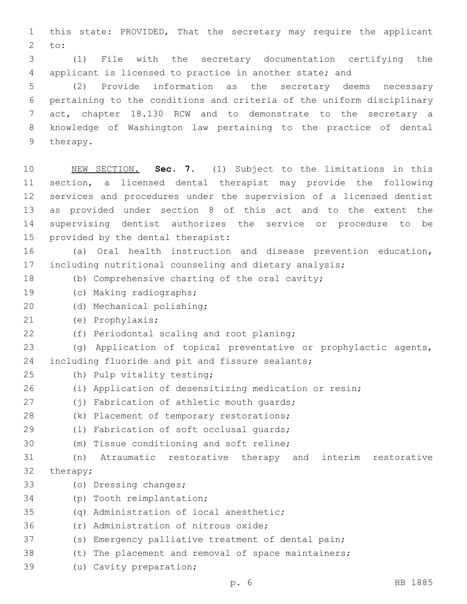1 this state: PROVIDED, That the secretary may require the applicant  $2$  to:

3 (1) File with the secretary documentation certifying the 4 applicant is licensed to practice in another state; and

 (2) Provide information as the secretary deems necessary pertaining to the conditions and criteria of the uniform disciplinary act, chapter 18.130 RCW and to demonstrate to the secretary a knowledge of Washington law pertaining to the practice of dental 9 therapy.

 NEW SECTION. **Sec. 7.** (1) Subject to the limitations in this section, a licensed dental therapist may provide the following services and procedures under the supervision of a licensed dentist as provided under section 8 of this act and to the extent the supervising dentist authorizes the service or procedure to be provided by the dental therapist:

16 (a) Oral health instruction and disease prevention education, 17 including nutritional counseling and dietary analysis;

- 18 (b) Comprehensive charting of the oral cavity;
- 19 (c) Making radiographs;
- 20 (d) Mechanical polishing;
- (e) Prophylaxis;21
- 22 (f) Periodontal scaling and root planing;

23 (g) Application of topical preventative or prophylactic agents, 24 including fluoride and pit and fissure sealants;

- (h) Pulp vitality testing;25
- 26 (i) Application of desensitizing medication or resin;
- (j) Fabrication of athletic mouth quards;
- 28 (k) Placement of temporary restorations;
- 29 (1) Fabrication of soft occlusal quards;
- 30 (m) Tissue conditioning and soft reline;
- 31 (n) Atraumatic restorative therapy and interim restorative 32 therapy;
- 33 (o) Dressing changes;
- 34 (p) Tooth reimplantation;
- (q) Administration of local anesthetic;
- 36 (r) Administration of nitrous oxide;
- 37 (s) Emergency palliative treatment of dental pain;
- 38 (t) The placement and removal of space maintainers;
- 39 (u) Cavity preparation;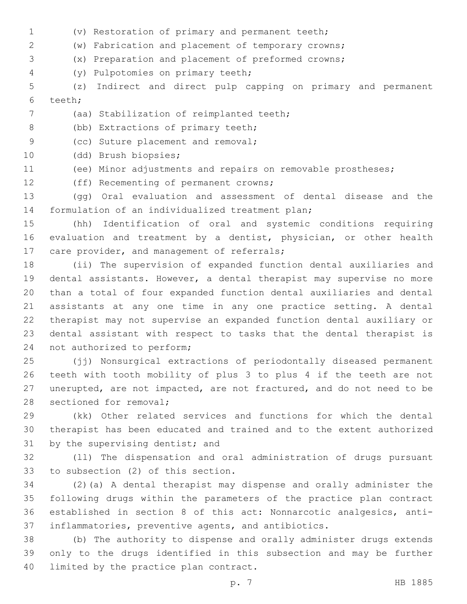- (v) Restoration of primary and permanent teeth;
- (w) Fabrication and placement of temporary crowns;
- (x) Preparation and placement of preformed crowns;
- (y) Pulpotomies on primary teeth;4

 (z) Indirect and direct pulp capping on primary and permanent 6 teeth;

- 7 (aa) Stabilization of reimplanted teeth;
- 8 (bb) Extractions of primary teeth;

9 (cc) Suture placement and removal;

- 10 (dd) Brush biopsies;
- (ee) Minor adjustments and repairs on removable prostheses;
- 12 (ff) Recementing of permanent crowns;

 (gg) Oral evaluation and assessment of dental disease and the 14 formulation of an individualized treatment plan;

 (hh) Identification of oral and systemic conditions requiring evaluation and treatment by a dentist, physician, or other health 17 care provider, and management of referrals;

 (ii) The supervision of expanded function dental auxiliaries and dental assistants. However, a dental therapist may supervise no more than a total of four expanded function dental auxiliaries and dental assistants at any one time in any one practice setting. A dental therapist may not supervise an expanded function dental auxiliary or dental assistant with respect to tasks that the dental therapist is 24 not authorized to perform;

 (jj) Nonsurgical extractions of periodontally diseased permanent teeth with tooth mobility of plus 3 to plus 4 if the teeth are not unerupted, are not impacted, are not fractured, and do not need to be 28 sectioned for removal;

 (kk) Other related services and functions for which the dental therapist has been educated and trained and to the extent authorized 31 by the supervising dentist; and

 (ll) The dispensation and oral administration of drugs pursuant 33 to subsection (2) of this section.

 (2)(a) A dental therapist may dispense and orally administer the following drugs within the parameters of the practice plan contract established in section 8 of this act: Nonnarcotic analgesics, anti-inflammatories, preventive agents, and antibiotics.

 (b) The authority to dispense and orally administer drugs extends only to the drugs identified in this subsection and may be further 40 limited by the practice plan contract.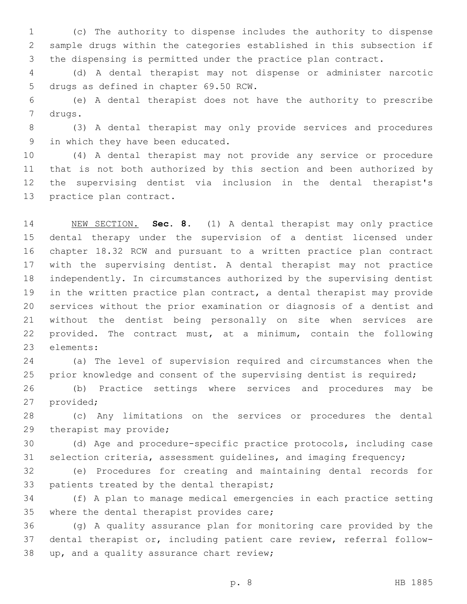(c) The authority to dispense includes the authority to dispense sample drugs within the categories established in this subsection if the dispensing is permitted under the practice plan contract.

 (d) A dental therapist may not dispense or administer narcotic 5 drugs as defined in chapter 69.50 RCW.

 (e) A dental therapist does not have the authority to prescribe 7 drugs.

 (3) A dental therapist may only provide services and procedures 9 in which they have been educated.

 (4) A dental therapist may not provide any service or procedure that is not both authorized by this section and been authorized by the supervising dentist via inclusion in the dental therapist's 13 practice plan contract.

 NEW SECTION. **Sec. 8.** (1) A dental therapist may only practice dental therapy under the supervision of a dentist licensed under chapter 18.32 RCW and pursuant to a written practice plan contract with the supervising dentist. A dental therapist may not practice independently. In circumstances authorized by the supervising dentist in the written practice plan contract, a dental therapist may provide services without the prior examination or diagnosis of a dentist and without the dentist being personally on site when services are provided. The contract must, at a minimum, contain the following elements:

 (a) The level of supervision required and circumstances when the 25 prior knowledge and consent of the supervising dentist is required;

 (b) Practice settings where services and procedures may be 27 provided;

 (c) Any limitations on the services or procedures the dental 29 therapist may provide;

 (d) Age and procedure-specific practice protocols, including case selection criteria, assessment guidelines, and imaging frequency;

 (e) Procedures for creating and maintaining dental records for 33 patients treated by the dental therapist;

 (f) A plan to manage medical emergencies in each practice setting 35 where the dental therapist provides care;

 (g) A quality assurance plan for monitoring care provided by the dental therapist or, including patient care review, referral follow-38 up, and a quality assurance chart review;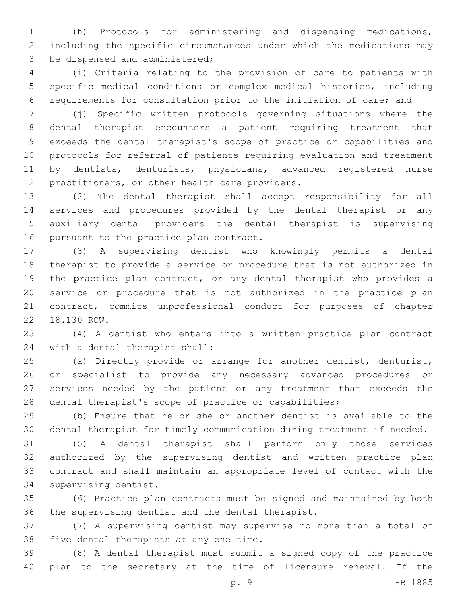(h) Protocols for administering and dispensing medications, including the specific circumstances under which the medications may 3 be dispensed and administered;

 (i) Criteria relating to the provision of care to patients with specific medical conditions or complex medical histories, including requirements for consultation prior to the initiation of care; and

 (j) Specific written protocols governing situations where the dental therapist encounters a patient requiring treatment that exceeds the dental therapist's scope of practice or capabilities and protocols for referral of patients requiring evaluation and treatment by dentists, denturists, physicians, advanced registered nurse 12 practitioners, or other health care providers.

 (2) The dental therapist shall accept responsibility for all services and procedures provided by the dental therapist or any auxiliary dental providers the dental therapist is supervising 16 pursuant to the practice plan contract.

 (3) A supervising dentist who knowingly permits a dental therapist to provide a service or procedure that is not authorized in the practice plan contract, or any dental therapist who provides a service or procedure that is not authorized in the practice plan contract, commits unprofessional conduct for purposes of chapter 22 18.130 RCW.

 (4) A dentist who enters into a written practice plan contract 24 with a dental therapist shall:

 (a) Directly provide or arrange for another dentist, denturist, or specialist to provide any necessary advanced procedures or services needed by the patient or any treatment that exceeds the dental therapist's scope of practice or capabilities;

 (b) Ensure that he or she or another dentist is available to the dental therapist for timely communication during treatment if needed.

 (5) A dental therapist shall perform only those services authorized by the supervising dentist and written practice plan contract and shall maintain an appropriate level of contact with the 34 supervising dentist.

 (6) Practice plan contracts must be signed and maintained by both 36 the supervising dentist and the dental therapist.

 (7) A supervising dentist may supervise no more than a total of 38 five dental therapists at any one time.

 (8) A dental therapist must submit a signed copy of the practice plan to the secretary at the time of licensure renewal. If the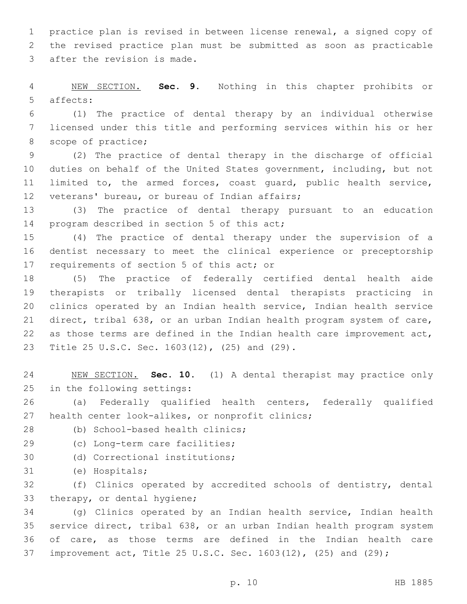practice plan is revised in between license renewal, a signed copy of the revised practice plan must be submitted as soon as practicable 3 after the revision is made.

 NEW SECTION. **Sec. 9.** Nothing in this chapter prohibits or affects:

 (1) The practice of dental therapy by an individual otherwise licensed under this title and performing services within his or her 8 scope of practice;

 (2) The practice of dental therapy in the discharge of official duties on behalf of the United States government, including, but not limited to, the armed forces, coast guard, public health service, 12 veterans' bureau, or bureau of Indian affairs;

 (3) The practice of dental therapy pursuant to an education 14 program described in section 5 of this act;

 (4) The practice of dental therapy under the supervision of a dentist necessary to meet the clinical experience or preceptorship 17 requirements of section 5 of this act; or

 (5) The practice of federally certified dental health aide therapists or tribally licensed dental therapists practicing in clinics operated by an Indian health service, Indian health service direct, tribal 638, or an urban Indian health program system of care, as those terms are defined in the Indian health care improvement act, 23 Title 25 U.S.C. Sec. 1603(12), (25) and (29).

 NEW SECTION. **Sec. 10.** (1) A dental therapist may practice only in the following settings:

 (a) Federally qualified health centers, federally qualified 27 health center look-alikes, or nonprofit clinics;

- 28 (b) School-based health clinics;
- 29 (c) Long-term care facilities;
- 30 (d) Correctional institutions;
- 31 (e) Hospitals;

 (f) Clinics operated by accredited schools of dentistry, dental 33 therapy, or dental hygiene;

 (g) Clinics operated by an Indian health service, Indian health service direct, tribal 638, or an urban Indian health program system of care, as those terms are defined in the Indian health care improvement act, Title 25 U.S.C. Sec. 1603(12), (25) and (29);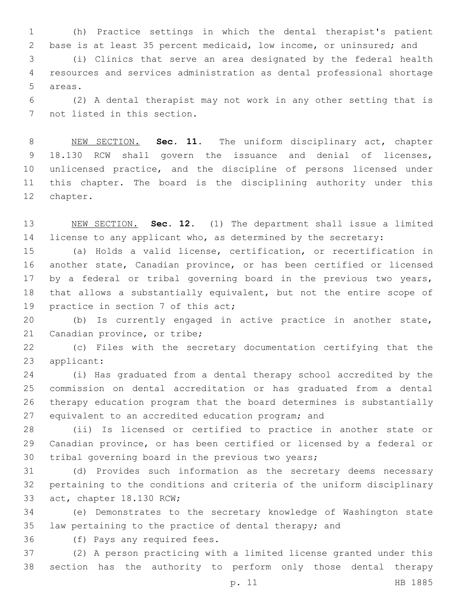(h) Practice settings in which the dental therapist's patient base is at least 35 percent medicaid, low income, or uninsured; and

 (i) Clinics that serve an area designated by the federal health resources and services administration as dental professional shortage 5 areas.

 (2) A dental therapist may not work in any other setting that is 7 not listed in this section.

 NEW SECTION. **Sec. 11.** The uniform disciplinary act, chapter 18.130 RCW shall govern the issuance and denial of licenses, unlicensed practice, and the discipline of persons licensed under this chapter. The board is the disciplining authority under this chapter.

 NEW SECTION. **Sec. 12.** (1) The department shall issue a limited license to any applicant who, as determined by the secretary:

 (a) Holds a valid license, certification, or recertification in another state, Canadian province, or has been certified or licensed by a federal or tribal governing board in the previous two years, that allows a substantially equivalent, but not the entire scope of 19 practice in section 7 of this act;

 (b) Is currently engaged in active practice in another state, 21 Canadian province, or tribe;

 (c) Files with the secretary documentation certifying that the 23 applicant:

 (i) Has graduated from a dental therapy school accredited by the commission on dental accreditation or has graduated from a dental therapy education program that the board determines is substantially equivalent to an accredited education program; and

 (ii) Is licensed or certified to practice in another state or Canadian province, or has been certified or licensed by a federal or 30 tribal governing board in the previous two years;

 (d) Provides such information as the secretary deems necessary pertaining to the conditions and criteria of the uniform disciplinary 33 act, chapter 18.130 RCW;

 (e) Demonstrates to the secretary knowledge of Washington state law pertaining to the practice of dental therapy; and

36 (f) Pays any required fees.

 (2) A person practicing with a limited license granted under this section has the authority to perform only those dental therapy

p. 11 HB 1885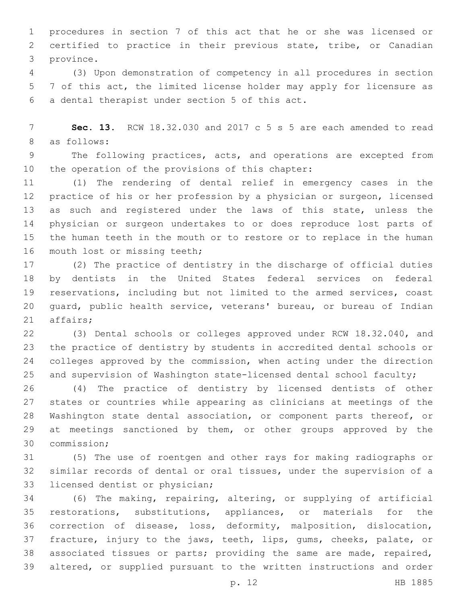procedures in section 7 of this act that he or she was licensed or certified to practice in their previous state, tribe, or Canadian 3 province.

 (3) Upon demonstration of competency in all procedures in section 7 of this act, the limited license holder may apply for licensure as a dental therapist under section 5 of this act.6

 **Sec. 13.** RCW 18.32.030 and 2017 c 5 s 5 are each amended to read 8 as follows:

 The following practices, acts, and operations are excepted from 10 the operation of the provisions of this chapter:

 (1) The rendering of dental relief in emergency cases in the practice of his or her profession by a physician or surgeon, licensed as such and registered under the laws of this state, unless the physician or surgeon undertakes to or does reproduce lost parts of the human teeth in the mouth or to restore or to replace in the human 16 mouth lost or missing teeth;

 (2) The practice of dentistry in the discharge of official duties by dentists in the United States federal services on federal reservations, including but not limited to the armed services, coast guard, public health service, veterans' bureau, or bureau of Indian 21 affairs;

 (3) Dental schools or colleges approved under RCW 18.32.040, and the practice of dentistry by students in accredited dental schools or colleges approved by the commission, when acting under the direction and supervision of Washington state-licensed dental school faculty;

 (4) The practice of dentistry by licensed dentists of other states or countries while appearing as clinicians at meetings of the Washington state dental association, or component parts thereof, or at meetings sanctioned by them, or other groups approved by the 30 commission;

 (5) The use of roentgen and other rays for making radiographs or similar records of dental or oral tissues, under the supervision of a 33 licensed dentist or physician;

 (6) The making, repairing, altering, or supplying of artificial restorations, substitutions, appliances, or materials for the correction of disease, loss, deformity, malposition, dislocation, fracture, injury to the jaws, teeth, lips, gums, cheeks, palate, or associated tissues or parts; providing the same are made, repaired, altered, or supplied pursuant to the written instructions and order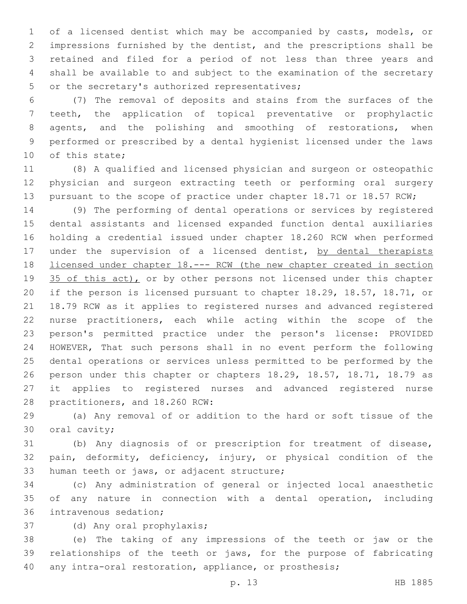of a licensed dentist which may be accompanied by casts, models, or impressions furnished by the dentist, and the prescriptions shall be retained and filed for a period of not less than three years and shall be available to and subject to the examination of the secretary 5 or the secretary's authorized representatives;

 (7) The removal of deposits and stains from the surfaces of the teeth, the application of topical preventative or prophylactic 8 agents, and the polishing and smoothing of restorations, when performed or prescribed by a dental hygienist licensed under the laws 10 of this state;

 (8) A qualified and licensed physician and surgeon or osteopathic physician and surgeon extracting teeth or performing oral surgery 13 pursuant to the scope of practice under chapter 18.71 or 18.57 RCW;

 (9) The performing of dental operations or services by registered dental assistants and licensed expanded function dental auxiliaries holding a credential issued under chapter 18.260 RCW when performed 17 under the supervision of a licensed dentist, by dental therapists 18 licensed under chapter 18. --- RCW (the new chapter created in section 19 35 of this act), or by other persons not licensed under this chapter if the person is licensed pursuant to chapter 18.29, 18.57, 18.71, or 18.79 RCW as it applies to registered nurses and advanced registered nurse practitioners, each while acting within the scope of the person's permitted practice under the person's license: PROVIDED HOWEVER, That such persons shall in no event perform the following dental operations or services unless permitted to be performed by the person under this chapter or chapters 18.29, 18.57, 18.71, 18.79 as it applies to registered nurses and advanced registered nurse 28 practitioners, and 18.260 RCW:

 (a) Any removal of or addition to the hard or soft tissue of the 30 oral cavity;

 (b) Any diagnosis of or prescription for treatment of disease, pain, deformity, deficiency, injury, or physical condition of the 33 human teeth or jaws, or adjacent structure;

 (c) Any administration of general or injected local anaesthetic of any nature in connection with a dental operation, including 36 intravenous sedation;

37 (d) Any oral prophylaxis;

 (e) The taking of any impressions of the teeth or jaw or the relationships of the teeth or jaws, for the purpose of fabricating any intra-oral restoration, appliance, or prosthesis;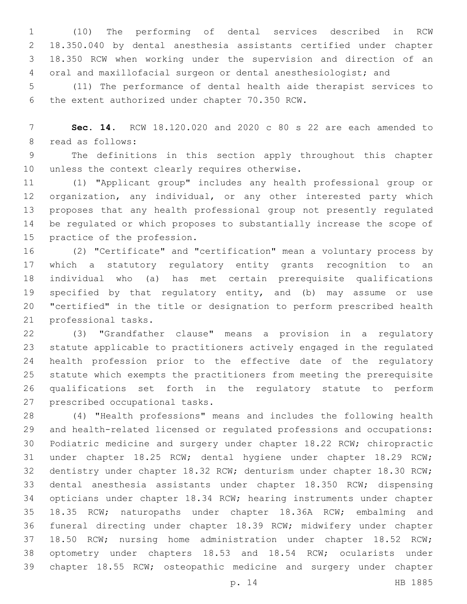(10) The performing of dental services described in RCW 18.350.040 by dental anesthesia assistants certified under chapter 18.350 RCW when working under the supervision and direction of an oral and maxillofacial surgeon or dental anesthesiologist; and

 (11) The performance of dental health aide therapist services to 6 the extent authorized under chapter 70.350 RCW.

 **Sec. 14.** RCW 18.120.020 and 2020 c 80 s 22 are each amended to 8 read as follows:

 The definitions in this section apply throughout this chapter 10 unless the context clearly requires otherwise.

 (1) "Applicant group" includes any health professional group or organization, any individual, or any other interested party which proposes that any health professional group not presently regulated be regulated or which proposes to substantially increase the scope of 15 practice of the profession.

 (2) "Certificate" and "certification" mean a voluntary process by which a statutory regulatory entity grants recognition to an individual who (a) has met certain prerequisite qualifications specified by that regulatory entity, and (b) may assume or use "certified" in the title or designation to perform prescribed health 21 professional tasks.

 (3) "Grandfather clause" means a provision in a regulatory statute applicable to practitioners actively engaged in the regulated health profession prior to the effective date of the regulatory statute which exempts the practitioners from meeting the prerequisite qualifications set forth in the regulatory statute to perform 27 prescribed occupational tasks.

 (4) "Health professions" means and includes the following health and health-related licensed or regulated professions and occupations: Podiatric medicine and surgery under chapter 18.22 RCW; chiropractic under chapter 18.25 RCW; dental hygiene under chapter 18.29 RCW; dentistry under chapter 18.32 RCW; denturism under chapter 18.30 RCW; dental anesthesia assistants under chapter 18.350 RCW; dispensing opticians under chapter 18.34 RCW; hearing instruments under chapter 18.35 RCW; naturopaths under chapter 18.36A RCW; embalming and funeral directing under chapter 18.39 RCW; midwifery under chapter 18.50 RCW; nursing home administration under chapter 18.52 RCW; optometry under chapters 18.53 and 18.54 RCW; ocularists under chapter 18.55 RCW; osteopathic medicine and surgery under chapter

p. 14 HB 1885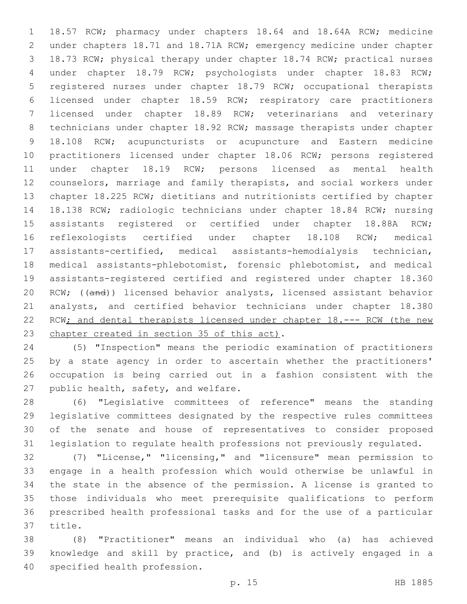18.57 RCW; pharmacy under chapters 18.64 and 18.64A RCW; medicine under chapters 18.71 and 18.71A RCW; emergency medicine under chapter 18.73 RCW; physical therapy under chapter 18.74 RCW; practical nurses under chapter 18.79 RCW; psychologists under chapter 18.83 RCW; registered nurses under chapter 18.79 RCW; occupational therapists licensed under chapter 18.59 RCW; respiratory care practitioners licensed under chapter 18.89 RCW; veterinarians and veterinary technicians under chapter 18.92 RCW; massage therapists under chapter 18.108 RCW; acupuncturists or acupuncture and Eastern medicine practitioners licensed under chapter 18.06 RCW; persons registered under chapter 18.19 RCW; persons licensed as mental health counselors, marriage and family therapists, and social workers under chapter 18.225 RCW; dietitians and nutritionists certified by chapter 18.138 RCW; radiologic technicians under chapter 18.84 RCW; nursing assistants registered or certified under chapter 18.88A RCW; reflexologists certified under chapter 18.108 RCW; medical assistants-certified, medical assistants-hemodialysis technician, medical assistants-phlebotomist, forensic phlebotomist, and medical assistants-registered certified and registered under chapter 18.360 20 RCW; ((and)) licensed behavior analysts, licensed assistant behavior analysts, and certified behavior technicians under chapter 18.380 22 RCW; and dental therapists licensed under chapter 18.--- RCW (the new 23 chapter created in section 35 of this act).

 (5) "Inspection" means the periodic examination of practitioners by a state agency in order to ascertain whether the practitioners' occupation is being carried out in a fashion consistent with the 27 public health, safety, and welfare.

 (6) "Legislative committees of reference" means the standing legislative committees designated by the respective rules committees of the senate and house of representatives to consider proposed legislation to regulate health professions not previously regulated.

 (7) "License," "licensing," and "licensure" mean permission to engage in a health profession which would otherwise be unlawful in the state in the absence of the permission. A license is granted to those individuals who meet prerequisite qualifications to perform prescribed health professional tasks and for the use of a particular 37 title.

 (8) "Practitioner" means an individual who (a) has achieved knowledge and skill by practice, and (b) is actively engaged in a 40 specified health profession.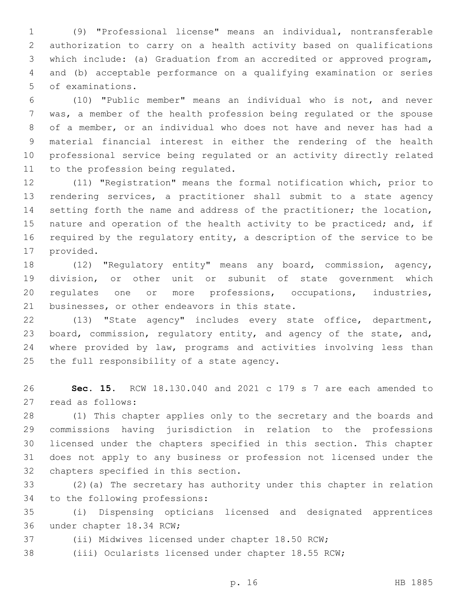(9) "Professional license" means an individual, nontransferable authorization to carry on a health activity based on qualifications which include: (a) Graduation from an accredited or approved program, and (b) acceptable performance on a qualifying examination or series 5 of examinations.

 (10) "Public member" means an individual who is not, and never was, a member of the health profession being regulated or the spouse of a member, or an individual who does not have and never has had a material financial interest in either the rendering of the health professional service being regulated or an activity directly related 11 to the profession being regulated.

 (11) "Registration" means the formal notification which, prior to rendering services, a practitioner shall submit to a state agency setting forth the name and address of the practitioner; the location, 15 nature and operation of the health activity to be practiced; and, if required by the regulatory entity, a description of the service to be 17 provided.

 (12) "Regulatory entity" means any board, commission, agency, division, or other unit or subunit of state government which regulates one or more professions, occupations, industries, 21 businesses, or other endeavors in this state.

 (13) "State agency" includes every state office, department, board, commission, regulatory entity, and agency of the state, and, where provided by law, programs and activities involving less than 25 the full responsibility of a state agency.

 **Sec. 15.** RCW 18.130.040 and 2021 c 179 s 7 are each amended to 27 read as follows:

 (1) This chapter applies only to the secretary and the boards and commissions having jurisdiction in relation to the professions licensed under the chapters specified in this section. This chapter does not apply to any business or profession not licensed under the 32 chapters specified in this section.

 (2)(a) The secretary has authority under this chapter in relation 34 to the following professions:

 (i) Dispensing opticians licensed and designated apprentices 36 under chapter 18.34 RCW;

(ii) Midwives licensed under chapter 18.50 RCW;

(iii) Ocularists licensed under chapter 18.55 RCW;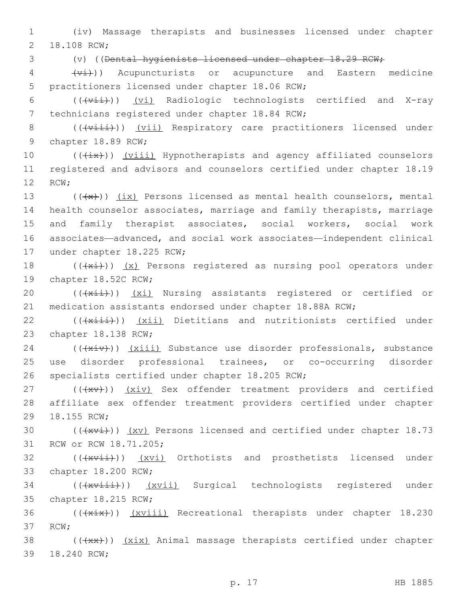1 (iv) Massage therapists and businesses licensed under chapter 2 18.108 RCW;

3 (v) ((Dental hygienists licensed under chapter 18.29 RCW;

 $\frac{1}{4}$  ( $\frac{1}{4}$ )) Acupuncturists or acupuncture and Eastern medicine 5 practitioners licensed under chapter 18.06 RCW;

6 (((+vii)) (vi) Radiologic technologists certified and X-ray 7 technicians registered under chapter 18.84 RCW;

8 (((viii)) (vii) Respiratory care practitioners licensed under 9 chapter 18.89 RCW;

10 (( $\frac{1}{1}$ )) (viii) Hypnotherapists and agency affiliated counselors 11 registered and advisors and counselors certified under chapter 18.19 12 RCW;

 $((+x))$   $(ix)$  Persons licensed as mental health counselors, mental health counselor associates, marriage and family therapists, marriage and family therapist associates, social workers, social work associates—advanced, and social work associates—independent clinical 17 under chapter 18.225 RCW;

18  $((+x\text{if}))$   $(x)$  Persons registered as nursing pool operators under 19 chapter 18.52C RCW;

20 (((xii)) (xi) Nursing assistants registered or certified or 21 medication assistants endorsed under chapter 18.88A RCW;

22 (( $(x\text{iii})$ ) (xii) Dietitians and nutritionists certified under 23 chapter 18.138 RCW;

 $24$  ( $(\overline{+xiv})$ )  $(xiii)$  Substance use disorder professionals, substance 25 use disorder professional trainees, or co-occurring disorder 26 specialists certified under chapter 18.205 RCW;

27 (((xv)) (xiv) Sex offender treatment providers and certified 28 affiliate sex offender treatment providers certified under chapter 29 18.155 RCW;

30  $((+x\overline{x+}))$   $(x\overline{v})$  Persons licensed and certified under chapter 18.73 31 RCW or RCW 18.71.205;

32 (((xvii)) (xvi) Orthotists and prosthetists licensed under 33 chapter 18.200 RCW;

34 (((xviii)) (xvii) Surgical technologists registered under 35 chapter 18.215 RCW;

36 (((xix))) (xviii) Recreational therapists under chapter 18.230 37 RCW;

38 (((xx))) (xix) Animal massage therapists certified under chapter 39 18.240 RCW;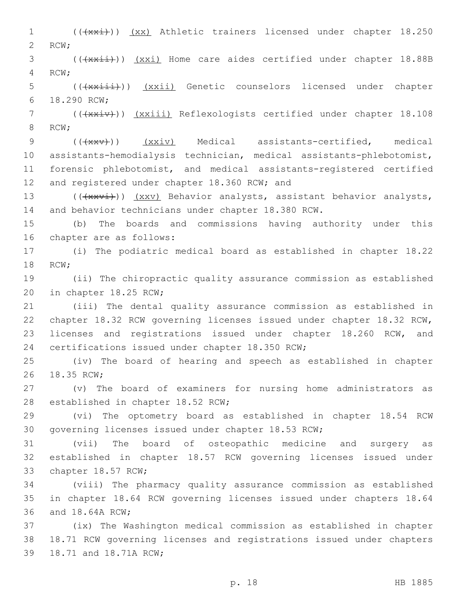1 (((xxi))) (xx) Athletic trainers licensed under chapter 18.250 2 RCW; 3 (( $\frac{1}{4}$ )) (xxi) Home care aides certified under chapter 18.88B 4 RCW; 5 (( $\frac{1}{x^{x+i}}$ )) ( $\frac{xxi}{i}$ ) Genetic counselors licensed under chapter 18.290 RCW;6 7 (( $\frac{1}{100}$  (( $\frac{1}{100}$ ) ( $\frac{1}{100}$ ) Reflexologists certified under chapter 18.108 8 RCW: 9 (((xxv)) (xxiv) Medical assistants-certified, medical 10 assistants-hemodialysis technician, medical assistants-phlebotomist, 11 forensic phlebotomist, and medical assistants-registered certified 12 and registered under chapter 18.360 RCW; and 13 (( $\frac{13}{4}$ )) (xxv) Behavior analysts, assistant behavior analysts, 14 and behavior technicians under chapter 18.380 RCW. 15 (b) The boards and commissions having authority under this 16 chapter are as follows: 17 (i) The podiatric medical board as established in chapter 18.22 18 RCW; 19 (ii) The chiropractic quality assurance commission as established 20 in chapter 18.25 RCW; 21 (iii) The dental quality assurance commission as established in 22 chapter 18.32 RCW governing licenses issued under chapter 18.32 RCW, 23 licenses and registrations issued under chapter 18.260 RCW, and 24 certifications issued under chapter 18.350 RCW; 25 (iv) The board of hearing and speech as established in chapter 26 18.35 RCW; 27 (v) The board of examiners for nursing home administrators as 28 established in chapter 18.52 RCW; 29 (vi) The optometry board as established in chapter 18.54 RCW 30 governing licenses issued under chapter 18.53 RCW; 31 (vii) The board of osteopathic medicine and surgery as 32 established in chapter 18.57 RCW governing licenses issued under 33 chapter 18.57 RCW; 34 (viii) The pharmacy quality assurance commission as established 35 in chapter 18.64 RCW governing licenses issued under chapters 18.64 36 and 18.64A RCW; 37 (ix) The Washington medical commission as established in chapter 38 18.71 RCW governing licenses and registrations issued under chapters 39 18.71 and 18.71A RCW;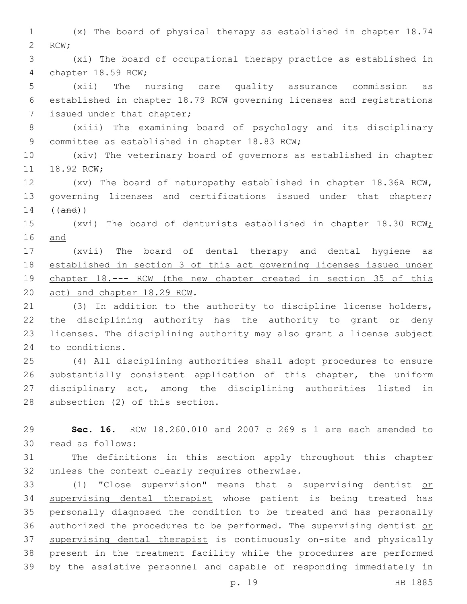(x) The board of physical therapy as established in chapter 18.74 2 RCW;

 (xi) The board of occupational therapy practice as established in 4 chapter 18.59 RCW;

 (xii) The nursing care quality assurance commission as established in chapter 18.79 RCW governing licenses and registrations 7 issued under that chapter;

 (xiii) The examining board of psychology and its disciplinary 9 committee as established in chapter 18.83 RCW;

 (xiv) The veterinary board of governors as established in chapter 11 18.92 RCW;

 (xv) The board of naturopathy established in chapter 18.36A RCW, governing licenses and certifications issued under that chapter; ((and))

15 (xvi) The board of denturists established in chapter 18.30 RCW; and

 (xvii) The board of dental therapy and dental hygiene as established in section 3 of this act governing licenses issued under chapter 18.--- RCW (the new chapter created in section 35 of this 20 act) and chapter 18.29 RCW.

 (3) In addition to the authority to discipline license holders, the disciplining authority has the authority to grant or deny licenses. The disciplining authority may also grant a license subject 24 to conditions.

 (4) All disciplining authorities shall adopt procedures to ensure substantially consistent application of this chapter, the uniform disciplinary act, among the disciplining authorities listed in 28 subsection (2) of this section.

 **Sec. 16.** RCW 18.260.010 and 2007 c 269 s 1 are each amended to 30 read as follows:

 The definitions in this section apply throughout this chapter 32 unless the context clearly requires otherwise.

 (1) "Close supervision" means that a supervising dentist or supervising dental therapist whose patient is being treated has personally diagnosed the condition to be treated and has personally 36 authorized the procedures to be performed. The supervising dentist or supervising dental therapist is continuously on-site and physically present in the treatment facility while the procedures are performed by the assistive personnel and capable of responding immediately in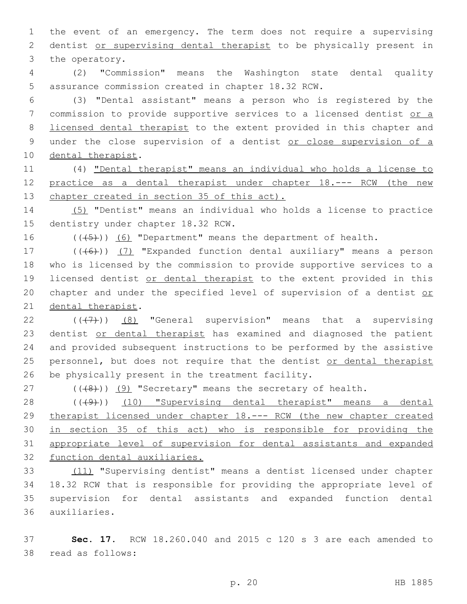1 the event of an emergency. The term does not require a supervising 2 dentist or supervising dental therapist to be physically present in 3 the operatory.

4 (2) "Commission" means the Washington state dental quality 5 assurance commission created in chapter 18.32 RCW.

6 (3) "Dental assistant" means a person who is registered by the 7 commission to provide supportive services to a licensed dentist or a 8 licensed dental therapist to the extent provided in this chapter and 9 under the close supervision of a dentist or close supervision of a 10 dental therapist.

11 (4) "Dental therapist" means an individual who holds a license to 12 practice as a dental therapist under chapter 18.--- RCW (the new 13 chapter created in section 35 of this act).

14 (5) "Dentist" means an individual who holds a license to practice 15 dentistry under chapter 18.32 RCW.

16  $((+5+))$  (6) "Department" means the department of health.

17 (((6)) (7) "Expanded function dental auxiliary" means a person 18 who is licensed by the commission to provide supportive services to a 19 licensed dentist or dental therapist to the extent provided in this 20 chapter and under the specified level of supervision of a dentist or 21 dental therapist.

22  $((+7+))$  (8) "General supervision" means that a supervising 23 dentist or dental therapist has examined and diagnosed the patient 24 and provided subsequent instructions to be performed by the assistive 25 personnel, but does not require that the dentist or dental therapist 26 be physically present in the treatment facility.

27  $((\langle 8\rangle)(9)$  "Secretary" means the secretary of health.

28 ((+9)) (10) "Supervising dental therapist" means a dental 29 therapist licensed under chapter 18.--- RCW (the new chapter created 30 in section 35 of this act) who is responsible for providing the 31 appropriate level of supervision for dental assistants and expanded 32 function dental auxiliaries.

 (11) "Supervising dentist" means a dentist licensed under chapter 18.32 RCW that is responsible for providing the appropriate level of supervision for dental assistants and expanded function dental auxiliaries.36

37 **Sec. 17.** RCW 18.260.040 and 2015 c 120 s 3 are each amended to 38 read as follows: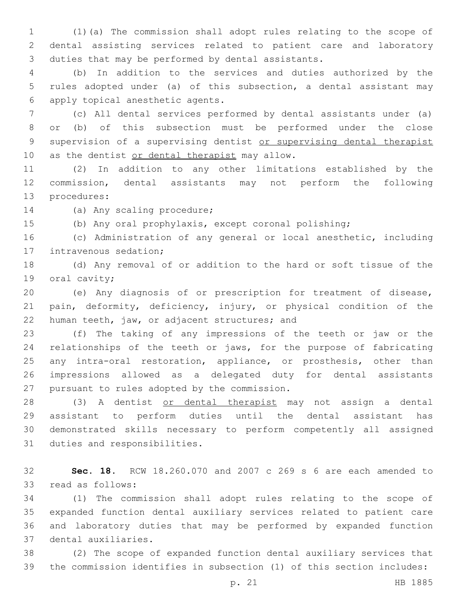(1)(a) The commission shall adopt rules relating to the scope of dental assisting services related to patient care and laboratory 3 duties that may be performed by dental assistants.

 (b) In addition to the services and duties authorized by the rules adopted under (a) of this subsection, a dental assistant may apply topical anesthetic agents.6

 (c) All dental services performed by dental assistants under (a) or (b) of this subsection must be performed under the close 9 supervision of a supervising dentist or supervising dental therapist 10 as the dentist or dental therapist may allow.

 (2) In addition to any other limitations established by the commission, dental assistants may not perform the following 13 procedures:

14 (a) Any scaling procedure;

(b) Any oral prophylaxis, except coronal polishing;

 (c) Administration of any general or local anesthetic, including 17 intravenous sedation;

 (d) Any removal of or addition to the hard or soft tissue of the 19 oral cavity;

 (e) Any diagnosis of or prescription for treatment of disease, pain, deformity, deficiency, injury, or physical condition of the 22 human teeth, jaw, or adjacent structures; and

 (f) The taking of any impressions of the teeth or jaw or the relationships of the teeth or jaws, for the purpose of fabricating 25 any intra-oral restoration, appliance, or prosthesis, other than impressions allowed as a delegated duty for dental assistants 27 pursuant to rules adopted by the commission.

 (3) A dentist or dental therapist may not assign a dental assistant to perform duties until the dental assistant has demonstrated skills necessary to perform competently all assigned 31 duties and responsibilities.

 **Sec. 18.** RCW 18.260.070 and 2007 c 269 s 6 are each amended to 33 read as follows:

 (1) The commission shall adopt rules relating to the scope of expanded function dental auxiliary services related to patient care and laboratory duties that may be performed by expanded function 37 dental auxiliaries.

 (2) The scope of expanded function dental auxiliary services that the commission identifies in subsection (1) of this section includes:

p. 21 HB 1885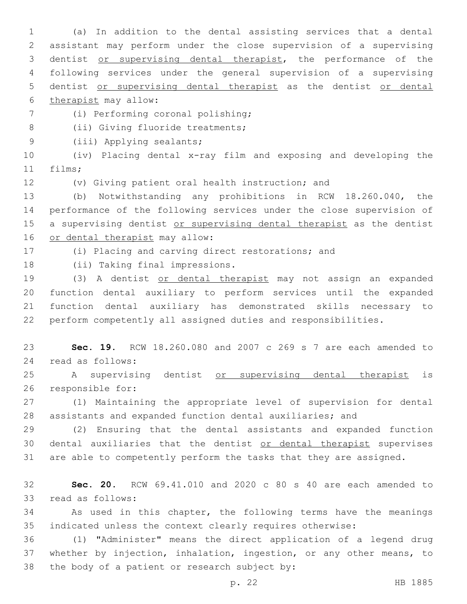(a) In addition to the dental assisting services that a dental assistant may perform under the close supervision of a supervising dentist or supervising dental therapist, the performance of the following services under the general supervision of a supervising dentist or supervising dental therapist as the dentist or dental 6 therapist may allow:

(i) Performing coronal polishing;7

8 (ii) Giving fluoride treatments;

9 (iii) Applying sealants;

 (iv) Placing dental x-ray film and exposing and developing the 11 films;

(v) Giving patient oral health instruction; and

 (b) Notwithstanding any prohibitions in RCW 18.260.040, the performance of the following services under the close supervision of 15 a supervising dentist or supervising dental therapist as the dentist 16 or dental therapist may allow:

(i) Placing and carving direct restorations; and

18 (ii) Taking final impressions.

 (3) A dentist or dental therapist may not assign an expanded function dental auxiliary to perform services until the expanded function dental auxiliary has demonstrated skills necessary to perform competently all assigned duties and responsibilities.

 **Sec. 19.** RCW 18.260.080 and 2007 c 269 s 7 are each amended to 24 read as follows:

 A supervising dentist or supervising dental therapist is 26 responsible for:

 (1) Maintaining the appropriate level of supervision for dental assistants and expanded function dental auxiliaries; and

 (2) Ensuring that the dental assistants and expanded function 30 dental auxiliaries that the dentist or dental therapist supervises are able to competently perform the tasks that they are assigned.

 **Sec. 20.** RCW 69.41.010 and 2020 c 80 s 40 are each amended to 33 read as follows:

 As used in this chapter, the following terms have the meanings indicated unless the context clearly requires otherwise:

 (1) "Administer" means the direct application of a legend drug whether by injection, inhalation, ingestion, or any other means, to 38 the body of a patient or research subject by: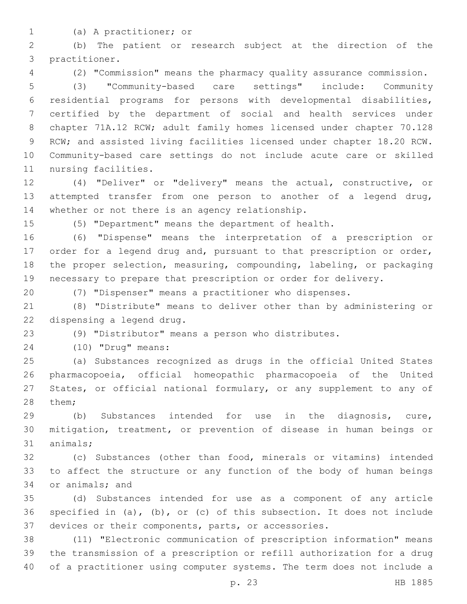- 
- (a) A practitioner; or1

 (b) The patient or research subject at the direction of the 3 practitioner.

(2) "Commission" means the pharmacy quality assurance commission.

 (3) "Community-based care settings" include: Community residential programs for persons with developmental disabilities, certified by the department of social and health services under chapter 71A.12 RCW; adult family homes licensed under chapter 70.128 RCW; and assisted living facilities licensed under chapter 18.20 RCW. Community-based care settings do not include acute care or skilled 11 nursing facilities.

 (4) "Deliver" or "delivery" means the actual, constructive, or attempted transfer from one person to another of a legend drug, 14 whether or not there is an agency relationship.

(5) "Department" means the department of health.

 (6) "Dispense" means the interpretation of a prescription or order for a legend drug and, pursuant to that prescription or order, the proper selection, measuring, compounding, labeling, or packaging necessary to prepare that prescription or order for delivery.

(7) "Dispenser" means a practitioner who dispenses.

 (8) "Distribute" means to deliver other than by administering or 22 dispensing a legend drug.

(9) "Distributor" means a person who distributes.

(10) "Drug" means:24

 (a) Substances recognized as drugs in the official United States pharmacopoeia, official homeopathic pharmacopoeia of the United States, or official national formulary, or any supplement to any of 28 them;

 (b) Substances intended for use in the diagnosis, cure, mitigation, treatment, or prevention of disease in human beings or 31 animals;

 (c) Substances (other than food, minerals or vitamins) intended to affect the structure or any function of the body of human beings 34 or animals; and

 (d) Substances intended for use as a component of any article specified in (a), (b), or (c) of this subsection. It does not include devices or their components, parts, or accessories.

 (11) "Electronic communication of prescription information" means the transmission of a prescription or refill authorization for a drug of a practitioner using computer systems. The term does not include a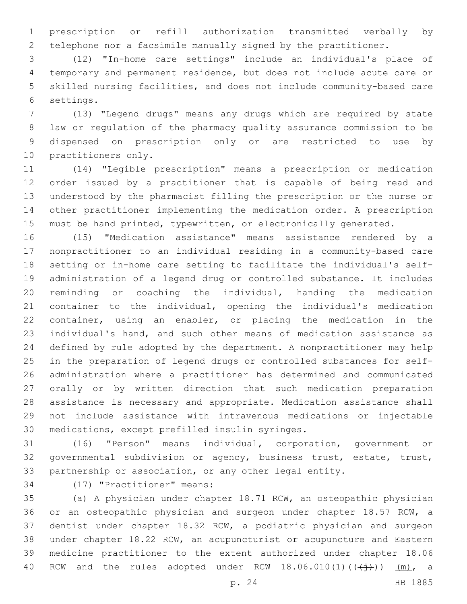prescription or refill authorization transmitted verbally by telephone nor a facsimile manually signed by the practitioner.

 (12) "In-home care settings" include an individual's place of temporary and permanent residence, but does not include acute care or skilled nursing facilities, and does not include community-based care 6 settings.

 (13) "Legend drugs" means any drugs which are required by state law or regulation of the pharmacy quality assurance commission to be dispensed on prescription only or are restricted to use by 10 practitioners only.

 (14) "Legible prescription" means a prescription or medication order issued by a practitioner that is capable of being read and understood by the pharmacist filling the prescription or the nurse or other practitioner implementing the medication order. A prescription must be hand printed, typewritten, or electronically generated.

 (15) "Medication assistance" means assistance rendered by a nonpractitioner to an individual residing in a community-based care setting or in-home care setting to facilitate the individual's self- administration of a legend drug or controlled substance. It includes reminding or coaching the individual, handing the medication container to the individual, opening the individual's medication container, using an enabler, or placing the medication in the individual's hand, and such other means of medication assistance as defined by rule adopted by the department. A nonpractitioner may help in the preparation of legend drugs or controlled substances for self- administration where a practitioner has determined and communicated orally or by written direction that such medication preparation assistance is necessary and appropriate. Medication assistance shall not include assistance with intravenous medications or injectable 30 medications, except prefilled insulin syringes.

 (16) "Person" means individual, corporation, government or governmental subdivision or agency, business trust, estate, trust, partnership or association, or any other legal entity.

34 (17) "Practitioner" means:

 (a) A physician under chapter 18.71 RCW, an osteopathic physician or an osteopathic physician and surgeon under chapter 18.57 RCW, a dentist under chapter 18.32 RCW, a podiatric physician and surgeon under chapter 18.22 RCW, an acupuncturist or acupuncture and Eastern medicine practitioner to the extent authorized under chapter 18.06 40 RCW and the rules adopted under RCW  $18.06.010(1)((\leftarrow\rightarrow\rightarrow))$  (m), a

p. 24 HB 1885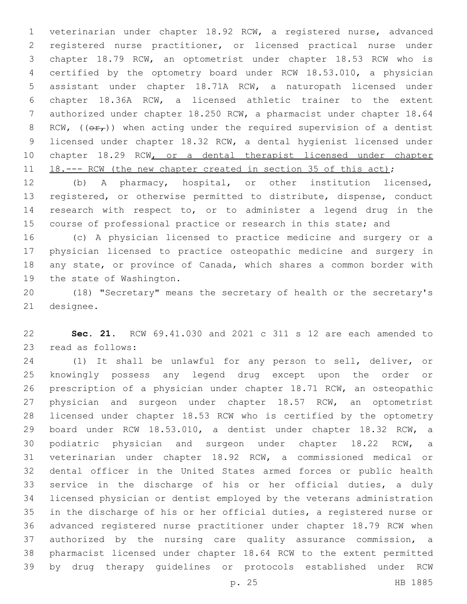veterinarian under chapter 18.92 RCW, a registered nurse, advanced registered nurse practitioner, or licensed practical nurse under chapter 18.79 RCW, an optometrist under chapter 18.53 RCW who is certified by the optometry board under RCW 18.53.010, a physician assistant under chapter 18.71A RCW, a naturopath licensed under chapter 18.36A RCW, a licensed athletic trainer to the extent authorized under chapter 18.250 RCW, a pharmacist under chapter 18.64 8 RCW, ( $(\theta \hat{r}_t)$ ) when acting under the required supervision of a dentist licensed under chapter 18.32 RCW, a dental hygienist licensed under chapter 18.29 RCW, or a dental therapist licensed under chapter 11 18.--- RCW (the new chapter created in section 35 of this act);

 (b) A pharmacy, hospital, or other institution licensed, registered, or otherwise permitted to distribute, dispense, conduct research with respect to, or to administer a legend drug in the course of professional practice or research in this state; and

 (c) A physician licensed to practice medicine and surgery or a physician licensed to practice osteopathic medicine and surgery in any state, or province of Canada, which shares a common border with 19 the state of Washington.

 (18) "Secretary" means the secretary of health or the secretary's 21 designee.

 **Sec. 21.** RCW 69.41.030 and 2021 c 311 s 12 are each amended to 23 read as follows:

 (1) It shall be unlawful for any person to sell, deliver, or knowingly possess any legend drug except upon the order or prescription of a physician under chapter 18.71 RCW, an osteopathic physician and surgeon under chapter 18.57 RCW, an optometrist licensed under chapter 18.53 RCW who is certified by the optometry board under RCW 18.53.010, a dentist under chapter 18.32 RCW, a podiatric physician and surgeon under chapter 18.22 RCW, a veterinarian under chapter 18.92 RCW, a commissioned medical or dental officer in the United States armed forces or public health service in the discharge of his or her official duties, a duly licensed physician or dentist employed by the veterans administration in the discharge of his or her official duties, a registered nurse or advanced registered nurse practitioner under chapter 18.79 RCW when authorized by the nursing care quality assurance commission, a pharmacist licensed under chapter 18.64 RCW to the extent permitted by drug therapy guidelines or protocols established under RCW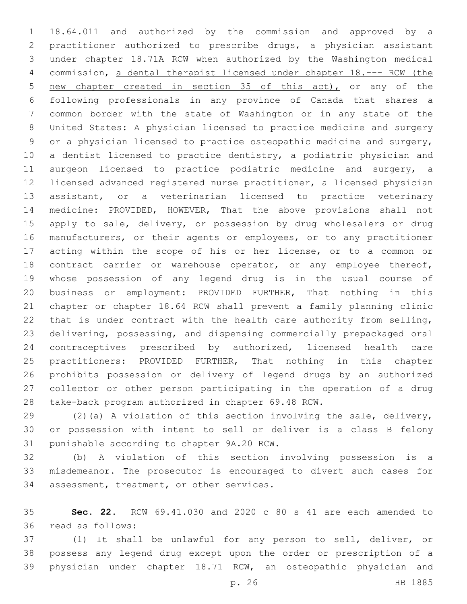18.64.011 and authorized by the commission and approved by a practitioner authorized to prescribe drugs, a physician assistant under chapter 18.71A RCW when authorized by the Washington medical commission, a dental therapist licensed under chapter 18.--- RCW (the new chapter created in section 35 of this act), or any of the following professionals in any province of Canada that shares a common border with the state of Washington or in any state of the United States: A physician licensed to practice medicine and surgery or a physician licensed to practice osteopathic medicine and surgery, a dentist licensed to practice dentistry, a podiatric physician and surgeon licensed to practice podiatric medicine and surgery, a licensed advanced registered nurse practitioner, a licensed physician assistant, or a veterinarian licensed to practice veterinary medicine: PROVIDED, HOWEVER, That the above provisions shall not 15 apply to sale, delivery, or possession by drug wholesalers or drug manufacturers, or their agents or employees, or to any practitioner acting within the scope of his or her license, or to a common or 18 contract carrier or warehouse operator, or any employee thereof, whose possession of any legend drug is in the usual course of business or employment: PROVIDED FURTHER, That nothing in this chapter or chapter 18.64 RCW shall prevent a family planning clinic that is under contract with the health care authority from selling, delivering, possessing, and dispensing commercially prepackaged oral contraceptives prescribed by authorized, licensed health care practitioners: PROVIDED FURTHER, That nothing in this chapter prohibits possession or delivery of legend drugs by an authorized collector or other person participating in the operation of a drug take-back program authorized in chapter 69.48 RCW.

 (2)(a) A violation of this section involving the sale, delivery, or possession with intent to sell or deliver is a class B felony 31 punishable according to chapter 9A.20 RCW.

 (b) A violation of this section involving possession is a misdemeanor. The prosecutor is encouraged to divert such cases for 34 assessment, treatment, or other services.

 **Sec. 22.** RCW 69.41.030 and 2020 c 80 s 41 are each amended to read as follows:36

 (1) It shall be unlawful for any person to sell, deliver, or possess any legend drug except upon the order or prescription of a physician under chapter 18.71 RCW, an osteopathic physician and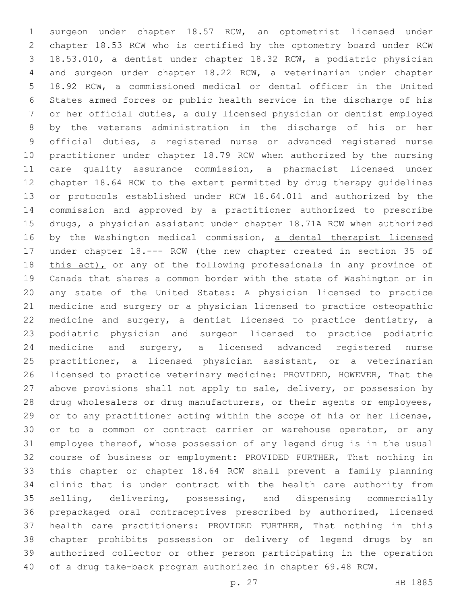surgeon under chapter 18.57 RCW, an optometrist licensed under chapter 18.53 RCW who is certified by the optometry board under RCW 18.53.010, a dentist under chapter 18.32 RCW, a podiatric physician and surgeon under chapter 18.22 RCW, a veterinarian under chapter 18.92 RCW, a commissioned medical or dental officer in the United States armed forces or public health service in the discharge of his or her official duties, a duly licensed physician or dentist employed by the veterans administration in the discharge of his or her official duties, a registered nurse or advanced registered nurse practitioner under chapter 18.79 RCW when authorized by the nursing care quality assurance commission, a pharmacist licensed under chapter 18.64 RCW to the extent permitted by drug therapy guidelines or protocols established under RCW 18.64.011 and authorized by the commission and approved by a practitioner authorized to prescribe drugs, a physician assistant under chapter 18.71A RCW when authorized by the Washington medical commission, a dental therapist licensed under chapter 18.--- RCW (the new chapter created in section 35 of 18 this act), or any of the following professionals in any province of Canada that shares a common border with the state of Washington or in any state of the United States: A physician licensed to practice medicine and surgery or a physician licensed to practice osteopathic medicine and surgery, a dentist licensed to practice dentistry, a podiatric physician and surgeon licensed to practice podiatric 24 medicine and surgery, a licensed advanced registered nurse practitioner, a licensed physician assistant, or a veterinarian licensed to practice veterinary medicine: PROVIDED, HOWEVER, That the 27 above provisions shall not apply to sale, delivery, or possession by 28 drug wholesalers or drug manufacturers, or their agents or employees, 29 or to any practitioner acting within the scope of his or her license, 30 or to a common or contract carrier or warehouse operator, or any employee thereof, whose possession of any legend drug is in the usual course of business or employment: PROVIDED FURTHER, That nothing in this chapter or chapter 18.64 RCW shall prevent a family planning clinic that is under contract with the health care authority from selling, delivering, possessing, and dispensing commercially prepackaged oral contraceptives prescribed by authorized, licensed health care practitioners: PROVIDED FURTHER, That nothing in this chapter prohibits possession or delivery of legend drugs by an authorized collector or other person participating in the operation of a drug take-back program authorized in chapter 69.48 RCW.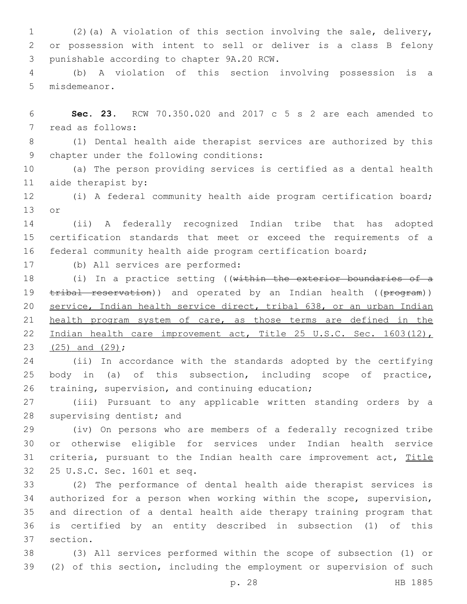1 (2)(a) A violation of this section involving the sale, delivery, 2 or possession with intent to sell or deliver is a class B felony 3 punishable according to chapter 9A.20 RCW.

4 (b) A violation of this section involving possession is a 5 misdemeanor.

6 **Sec. 23.** RCW 70.350.020 and 2017 c 5 s 2 are each amended to 7 read as follows:

8 (1) Dental health aide therapist services are authorized by this 9 chapter under the following conditions:

10 (a) The person providing services is certified as a dental health 11 aide therapist by:

12 (i) A federal community health aide program certification board; 13 or

14 (ii) A federally recognized Indian tribe that has adopted 15 certification standards that meet or exceed the requirements of a 16 federal community health aide program certification board;

(b) All services are performed:17

18 (i) In a practice setting ((within the exterior boundaries of a 19 tribal reservation)) and operated by an Indian health ((program)) 20 service, Indian health service direct, tribal 638, or an urban Indian 21 health program system of care, as those terms are defined in the 22 Indian health care improvement act, Title 25 U.S.C. Sec. 1603(12), 23 (25) and (29);

24 (ii) In accordance with the standards adopted by the certifying 25 body in (a) of this subsection, including scope of practice, 26 training, supervision, and continuing education;

27 (iii) Pursuant to any applicable written standing orders by a 28 supervising dentist; and

29 (iv) On persons who are members of a federally recognized tribe 30 or otherwise eligible for services under Indian health service 31 criteria, pursuant to the Indian health care improvement act, Title 32 25 U.S.C. Sec. 1601 et seq.

 (2) The performance of dental health aide therapist services is authorized for a person when working within the scope, supervision, and direction of a dental health aide therapy training program that is certified by an entity described in subsection (1) of this 37 section.

38 (3) All services performed within the scope of subsection (1) or 39 (2) of this section, including the employment or supervision of such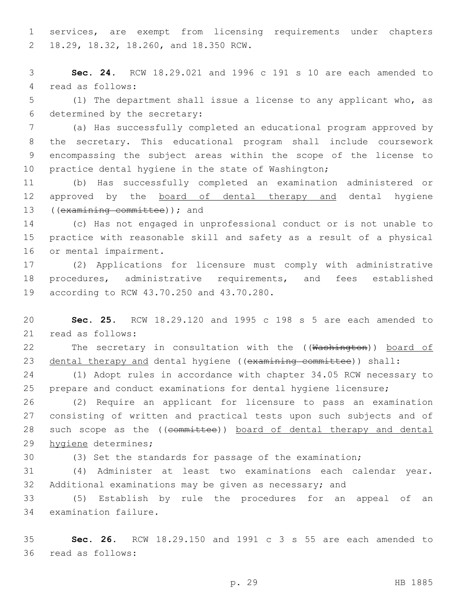1 services, are exempt from licensing requirements under chapters 18.29, 18.32, 18.260, and 18.350 RCW.2

3 **Sec. 24.** RCW 18.29.021 and 1996 c 191 s 10 are each amended to 4 read as follows:

5 (1) The department shall issue a license to any applicant who, as 6 determined by the secretary:

 (a) Has successfully completed an educational program approved by the secretary. This educational program shall include coursework encompassing the subject areas within the scope of the license to 10 practice dental hygiene in the state of Washington;

11 (b) Has successfully completed an examination administered or 12 approved by the board of dental therapy and dental hygiene 13 ((examining committee)); and

14 (c) Has not engaged in unprofessional conduct or is not unable to 15 practice with reasonable skill and safety as a result of a physical 16 or mental impairment.

17 (2) Applications for licensure must comply with administrative 18 procedures, administrative requirements, and fees established 19 according to RCW 43.70.250 and 43.70.280.

20 **Sec. 25.** RCW 18.29.120 and 1995 c 198 s 5 are each amended to 21 read as follows:

22 The secretary in consultation with the ((Washington)) board of 23 dental therapy and dental hygiene ((examining committee)) shall:

24 (1) Adopt rules in accordance with chapter 34.05 RCW necessary to 25 prepare and conduct examinations for dental hygiene licensure;

26 (2) Require an applicant for licensure to pass an examination 27 consisting of written and practical tests upon such subjects and of 28 such scope as the ((committee)) board of dental therapy and dental 29 hygiene determines;

30 (3) Set the standards for passage of the examination;

31 (4) Administer at least two examinations each calendar year. 32 Additional examinations may be given as necessary; and

33 (5) Establish by rule the procedures for an appeal of an 34 examination failure.

35 **Sec. 26.** RCW 18.29.150 and 1991 c 3 s 55 are each amended to 36 read as follows: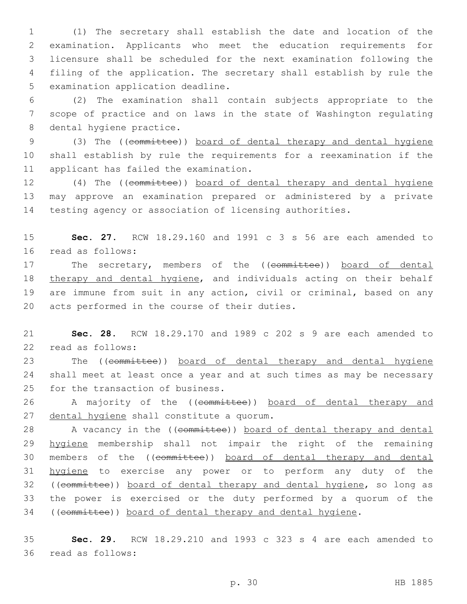(1) The secretary shall establish the date and location of the examination. Applicants who meet the education requirements for licensure shall be scheduled for the next examination following the filing of the application. The secretary shall establish by rule the 5 examination application deadline.

6 (2) The examination shall contain subjects appropriate to the 7 scope of practice and on laws in the state of Washington regulating 8 dental hygiene practice.

9 (3) The ((committee)) board of dental therapy and dental hygiene 10 shall establish by rule the requirements for a reexamination if the 11 applicant has failed the examination.

12 (4) The ((committee)) board of dental therapy and dental hygiene 13 may approve an examination prepared or administered by a private 14 testing agency or association of licensing authorities.

15 **Sec. 27.** RCW 18.29.160 and 1991 c 3 s 56 are each amended to 16 read as follows:

17 The secretary, members of the ((committee)) board of dental 18 therapy and dental hygiene, and individuals acting on their behalf 19 are immune from suit in any action, civil or criminal, based on any 20 acts performed in the course of their duties.

21 **Sec. 28.** RCW 18.29.170 and 1989 c 202 s 9 are each amended to 22 read as follows:

23 The ((committee)) board of dental therapy and dental hygiene 24 shall meet at least once a year and at such times as may be necessary 25 for the transaction of business.

26 A majority of the ((committee)) board of dental therapy and 27 dental hygiene shall constitute a quorum.

28 A vacancy in the ((committee)) board of dental therapy and dental 29 hygiene membership shall not impair the right of the remaining 30 members of the ((committee)) board of dental therapy and dental 31 hygiene to exercise any power or to perform any duty of the 32 ((committee)) board of dental therapy and dental hygiene, so long as 33 the power is exercised or the duty performed by a quorum of the 34 ((committee)) board of dental therapy and dental hygiene.

35 **Sec. 29.** RCW 18.29.210 and 1993 c 323 s 4 are each amended to 36 read as follows: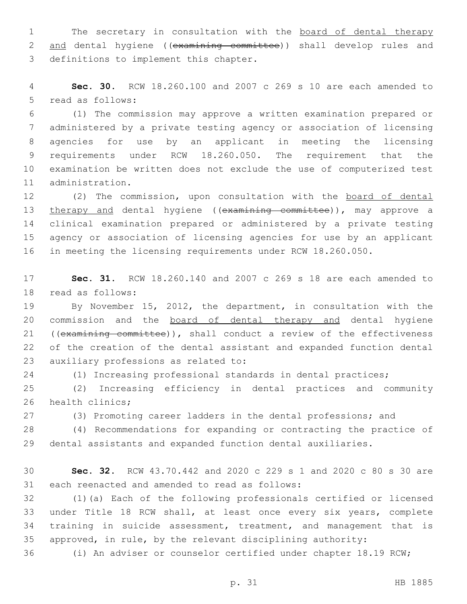1 The secretary in consultation with the board of dental therapy 2 and dental hygiene ((examining committee)) shall develop rules and 3 definitions to implement this chapter.

 **Sec. 30.** RCW 18.260.100 and 2007 c 269 s 10 are each amended to 5 read as follows:

 (1) The commission may approve a written examination prepared or administered by a private testing agency or association of licensing agencies for use by an applicant in meeting the licensing requirements under RCW 18.260.050. The requirement that the examination be written does not exclude the use of computerized test 11 administration.

 (2) The commission, upon consultation with the board of dental 13 therapy and dental hygiene ((examining committee)), may approve a clinical examination prepared or administered by a private testing agency or association of licensing agencies for use by an applicant in meeting the licensing requirements under RCW 18.260.050.

 **Sec. 31.** RCW 18.260.140 and 2007 c 269 s 18 are each amended to 18 read as follows:

 By November 15, 2012, the department, in consultation with the commission and the board of dental therapy and dental hygiene ((examining committee)), shall conduct a review of the effectiveness of the creation of the dental assistant and expanded function dental 23 auxiliary professions as related to:

(1) Increasing professional standards in dental practices;

 (2) Increasing efficiency in dental practices and community 26 health clinics;

(3) Promoting career ladders in the dental professions; and

 (4) Recommendations for expanding or contracting the practice of dental assistants and expanded function dental auxiliaries.

 **Sec. 32.** RCW 43.70.442 and 2020 c 229 s 1 and 2020 c 80 s 30 are 31 each reenacted and amended to read as follows:

 (1)(a) Each of the following professionals certified or licensed under Title 18 RCW shall, at least once every six years, complete training in suicide assessment, treatment, and management that is approved, in rule, by the relevant disciplining authority:

(i) An adviser or counselor certified under chapter 18.19 RCW;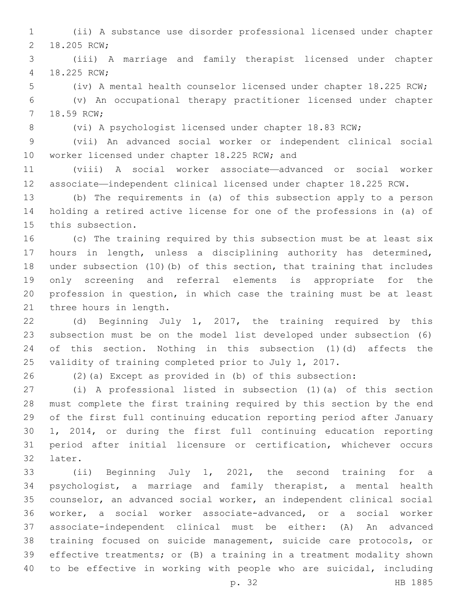(ii) A substance use disorder professional licensed under chapter 2 18.205 RCW;

 (iii) A marriage and family therapist licensed under chapter 18.225 RCW;4

(iv) A mental health counselor licensed under chapter 18.225 RCW;

 (v) An occupational therapy practitioner licensed under chapter 7 18.59 RCW;

(vi) A psychologist licensed under chapter 18.83 RCW;

 (vii) An advanced social worker or independent clinical social 10 worker licensed under chapter 18.225 RCW; and

 (viii) A social worker associate—advanced or social worker associate—independent clinical licensed under chapter 18.225 RCW.

 (b) The requirements in (a) of this subsection apply to a person holding a retired active license for one of the professions in (a) of 15 this subsection.

 (c) The training required by this subsection must be at least six hours in length, unless a disciplining authority has determined, under subsection (10)(b) of this section, that training that includes only screening and referral elements is appropriate for the profession in question, in which case the training must be at least 21 three hours in length.

 (d) Beginning July 1, 2017, the training required by this subsection must be on the model list developed under subsection (6) of this section. Nothing in this subsection (1)(d) affects the validity of training completed prior to July 1, 2017.

(2)(a) Except as provided in (b) of this subsection:

 (i) A professional listed in subsection (1)(a) of this section must complete the first training required by this section by the end of the first full continuing education reporting period after January 1, 2014, or during the first full continuing education reporting period after initial licensure or certification, whichever occurs 32 later.

33 (ii) Beginning July 1, 2021, the second training for a psychologist, a marriage and family therapist, a mental health counselor, an advanced social worker, an independent clinical social worker, a social worker associate-advanced, or a social worker associate-independent clinical must be either: (A) An advanced training focused on suicide management, suicide care protocols, or effective treatments; or (B) a training in a treatment modality shown to be effective in working with people who are suicidal, including

p. 32 HB 1885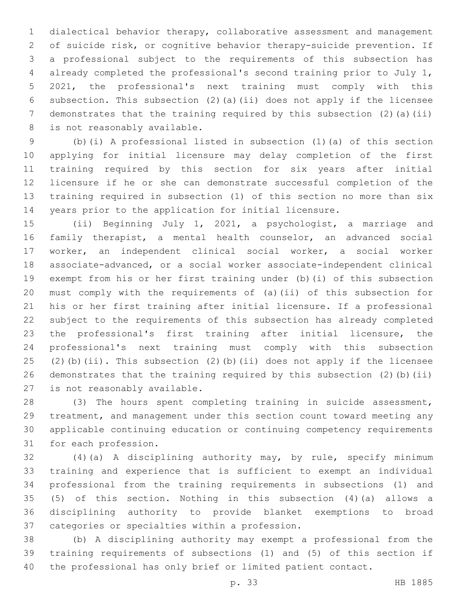dialectical behavior therapy, collaborative assessment and management of suicide risk, or cognitive behavior therapy-suicide prevention. If a professional subject to the requirements of this subsection has already completed the professional's second training prior to July 1, 2021, the professional's next training must comply with this subsection. This subsection (2)(a)(ii) does not apply if the licensee 7 demonstrates that the training required by this subsection (2)(a)(ii) 8 is not reasonably available.

 (b)(i) A professional listed in subsection (1)(a) of this section applying for initial licensure may delay completion of the first training required by this section for six years after initial licensure if he or she can demonstrate successful completion of the training required in subsection (1) of this section no more than six years prior to the application for initial licensure.

 (ii) Beginning July 1, 2021, a psychologist, a marriage and family therapist, a mental health counselor, an advanced social worker, an independent clinical social worker, a social worker associate-advanced, or a social worker associate-independent clinical exempt from his or her first training under (b)(i) of this subsection must comply with the requirements of (a)(ii) of this subsection for his or her first training after initial licensure. If a professional subject to the requirements of this subsection has already completed the professional's first training after initial licensure, the professional's next training must comply with this subsection (2)(b)(ii). This subsection (2)(b)(ii) does not apply if the licensee demonstrates that the training required by this subsection (2)(b)(ii) 27 is not reasonably available.

 (3) The hours spent completing training in suicide assessment, treatment, and management under this section count toward meeting any applicable continuing education or continuing competency requirements 31 for each profession.

 (4)(a) A disciplining authority may, by rule, specify minimum training and experience that is sufficient to exempt an individual professional from the training requirements in subsections (1) and (5) of this section. Nothing in this subsection (4)(a) allows a disciplining authority to provide blanket exemptions to broad 37 categories or specialties within a profession.

 (b) A disciplining authority may exempt a professional from the training requirements of subsections (1) and (5) of this section if the professional has only brief or limited patient contact.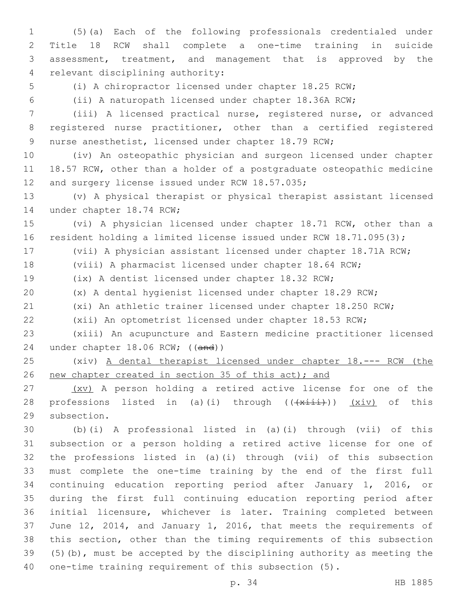(5)(a) Each of the following professionals credentialed under Title 18 RCW shall complete a one-time training in suicide assessment, treatment, and management that is approved by the 4 relevant disciplining authority:

(i) A chiropractor licensed under chapter 18.25 RCW;

(ii) A naturopath licensed under chapter 18.36A RCW;

 (iii) A licensed practical nurse, registered nurse, or advanced registered nurse practitioner, other than a certified registered nurse anesthetist, licensed under chapter 18.79 RCW;

 (iv) An osteopathic physician and surgeon licensed under chapter 18.57 RCW, other than a holder of a postgraduate osteopathic medicine 12 and surgery license issued under RCW 18.57.035;

 (v) A physical therapist or physical therapist assistant licensed 14 under chapter 18.74 RCW;

 (vi) A physician licensed under chapter 18.71 RCW, other than a 16 resident holding a limited license issued under RCW 18.71.095(3);

(vii) A physician assistant licensed under chapter 18.71A RCW;

(viii) A pharmacist licensed under chapter 18.64 RCW;

(ix) A dentist licensed under chapter 18.32 RCW;

(x) A dental hygienist licensed under chapter 18.29 RCW;

(xi) An athletic trainer licensed under chapter 18.250 RCW;

(xii) An optometrist licensed under chapter 18.53 RCW;

 (xiii) An acupuncture and Eastern medicine practitioner licensed 24 under chapter 18.06 RCW; ((and))

 (xiv) A dental therapist licensed under chapter 18.--- RCW (the 26 new chapter created in section 35 of this act); and

27 (XV) A person holding a retired active license for one of the 28 professions listed in (a)(i) through (( $\frac{1}{x+i}$ )) (xiv) of this 29 subsection.

 (b)(i) A professional listed in (a)(i) through (vii) of this subsection or a person holding a retired active license for one of the professions listed in (a)(i) through (vii) of this subsection must complete the one-time training by the end of the first full continuing education reporting period after January 1, 2016, or during the first full continuing education reporting period after initial licensure, whichever is later. Training completed between June 12, 2014, and January 1, 2016, that meets the requirements of this section, other than the timing requirements of this subsection (5)(b), must be accepted by the disciplining authority as meeting the one-time training requirement of this subsection (5).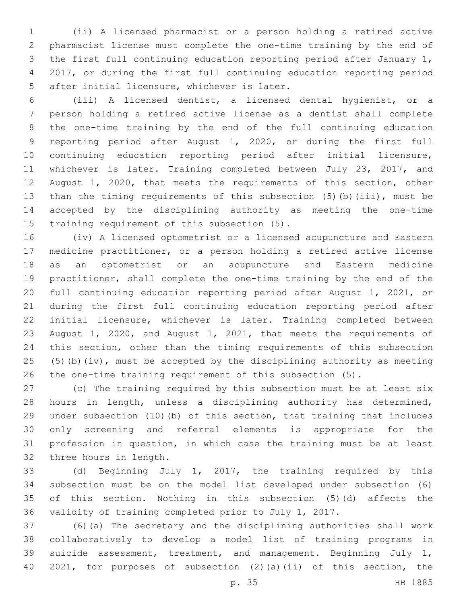(ii) A licensed pharmacist or a person holding a retired active pharmacist license must complete the one-time training by the end of the first full continuing education reporting period after January 1, 2017, or during the first full continuing education reporting period 5 after initial licensure, whichever is later.

 (iii) A licensed dentist, a licensed dental hygienist, or a person holding a retired active license as a dentist shall complete the one-time training by the end of the full continuing education reporting period after August 1, 2020, or during the first full continuing education reporting period after initial licensure, 11 whichever is later. Training completed between July 23, 2017, and August 1, 2020, that meets the requirements of this section, other than the timing requirements of this subsection (5)(b)(iii), must be accepted by the disciplining authority as meeting the one-time 15 training requirement of this subsection  $(5)$ .

 (iv) A licensed optometrist or a licensed acupuncture and Eastern medicine practitioner, or a person holding a retired active license as an optometrist or an acupuncture and Eastern medicine practitioner, shall complete the one-time training by the end of the full continuing education reporting period after August 1, 2021, or during the first full continuing education reporting period after initial licensure, whichever is later. Training completed between August 1, 2020, and August 1, 2021, that meets the requirements of this section, other than the timing requirements of this subsection (5)(b)(iv), must be accepted by the disciplining authority as meeting the one-time training requirement of this subsection (5).

 (c) The training required by this subsection must be at least six hours in length, unless a disciplining authority has determined, under subsection (10)(b) of this section, that training that includes only screening and referral elements is appropriate for the profession in question, in which case the training must be at least 32 three hours in length.

 (d) Beginning July 1, 2017, the training required by this subsection must be on the model list developed under subsection (6) of this section. Nothing in this subsection (5)(d) affects the validity of training completed prior to July 1, 2017.

 (6)(a) The secretary and the disciplining authorities shall work collaboratively to develop a model list of training programs in suicide assessment, treatment, and management. Beginning July 1, 2021, for purposes of subsection (2)(a)(ii) of this section, the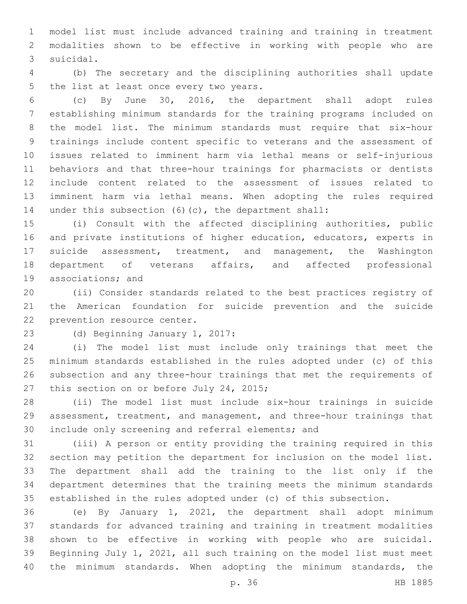model list must include advanced training and training in treatment modalities shown to be effective in working with people who are 3 suicidal.

 (b) The secretary and the disciplining authorities shall update 5 the list at least once every two years.

 (c) By June 30, 2016, the department shall adopt rules establishing minimum standards for the training programs included on the model list. The minimum standards must require that six-hour trainings include content specific to veterans and the assessment of issues related to imminent harm via lethal means or self-injurious behaviors and that three-hour trainings for pharmacists or dentists include content related to the assessment of issues related to imminent harm via lethal means. When adopting the rules required under this subsection (6)(c), the department shall:

 (i) Consult with the affected disciplining authorities, public and private institutions of higher education, educators, experts in suicide assessment, treatment, and management, the Washington department of veterans affairs, and affected professional 19 associations; and

 (ii) Consider standards related to the best practices registry of the American foundation for suicide prevention and the suicide 22 prevention resource center.

23 (d) Beginning January 1, 2017:

 (i) The model list must include only trainings that meet the minimum standards established in the rules adopted under (c) of this subsection and any three-hour trainings that met the requirements of 27 this section on or before July 24, 2015;

 (ii) The model list must include six-hour trainings in suicide assessment, treatment, and management, and three-hour trainings that 30 include only screening and referral elements; and

 (iii) A person or entity providing the training required in this section may petition the department for inclusion on the model list. The department shall add the training to the list only if the department determines that the training meets the minimum standards established in the rules adopted under (c) of this subsection.

 (e) By January 1, 2021, the department shall adopt minimum standards for advanced training and training in treatment modalities shown to be effective in working with people who are suicidal. Beginning July 1, 2021, all such training on the model list must meet 40 the minimum standards. When adopting the minimum standards, the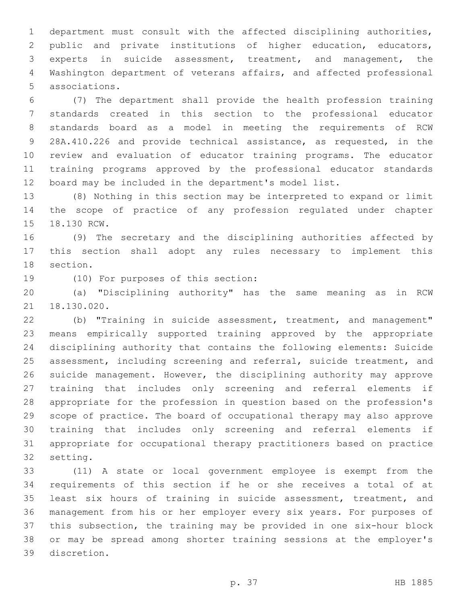department must consult with the affected disciplining authorities, public and private institutions of higher education, educators, experts in suicide assessment, treatment, and management, the Washington department of veterans affairs, and affected professional associations.5

 (7) The department shall provide the health profession training standards created in this section to the professional educator standards board as a model in meeting the requirements of RCW 28A.410.226 and provide technical assistance, as requested, in the review and evaluation of educator training programs. The educator training programs approved by the professional educator standards board may be included in the department's model list.

 (8) Nothing in this section may be interpreted to expand or limit the scope of practice of any profession regulated under chapter 15 18.130 RCW.

 (9) The secretary and the disciplining authorities affected by this section shall adopt any rules necessary to implement this 18 section.

19 (10) For purposes of this section:

 (a) "Disciplining authority" has the same meaning as in RCW 21 18.130.020.

 (b) "Training in suicide assessment, treatment, and management" means empirically supported training approved by the appropriate disciplining authority that contains the following elements: Suicide assessment, including screening and referral, suicide treatment, and suicide management. However, the disciplining authority may approve training that includes only screening and referral elements if appropriate for the profession in question based on the profession's scope of practice. The board of occupational therapy may also approve training that includes only screening and referral elements if appropriate for occupational therapy practitioners based on practice 32 setting.

 (11) A state or local government employee is exempt from the requirements of this section if he or she receives a total of at least six hours of training in suicide assessment, treatment, and management from his or her employer every six years. For purposes of this subsection, the training may be provided in one six-hour block or may be spread among shorter training sessions at the employer's discretion.39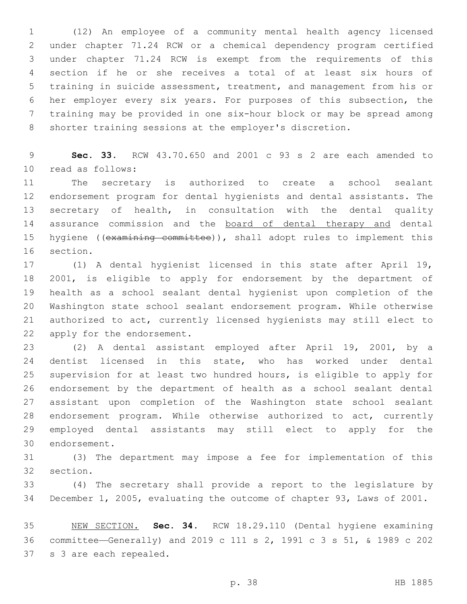(12) An employee of a community mental health agency licensed under chapter 71.24 RCW or a chemical dependency program certified under chapter 71.24 RCW is exempt from the requirements of this section if he or she receives a total of at least six hours of training in suicide assessment, treatment, and management from his or her employer every six years. For purposes of this subsection, the training may be provided in one six-hour block or may be spread among shorter training sessions at the employer's discretion.

 **Sec. 33.** RCW 43.70.650 and 2001 c 93 s 2 are each amended to 10 read as follows:

 The secretary is authorized to create a school sealant endorsement program for dental hygienists and dental assistants. The secretary of health, in consultation with the dental quality 14 assurance commission and the board of dental therapy and dental 15 hygiene ((examining committee)), shall adopt rules to implement this 16 section.

 (1) A dental hygienist licensed in this state after April 19, 2001, is eligible to apply for endorsement by the department of health as a school sealant dental hygienist upon completion of the Washington state school sealant endorsement program. While otherwise authorized to act, currently licensed hygienists may still elect to 22 apply for the endorsement.

 (2) A dental assistant employed after April 19, 2001, by a dentist licensed in this state, who has worked under dental supervision for at least two hundred hours, is eligible to apply for endorsement by the department of health as a school sealant dental assistant upon completion of the Washington state school sealant endorsement program. While otherwise authorized to act, currently employed dental assistants may still elect to apply for the 30 endorsement.

 (3) The department may impose a fee for implementation of this 32 section.

 (4) The secretary shall provide a report to the legislature by December 1, 2005, evaluating the outcome of chapter 93, Laws of 2001.

 NEW SECTION. **Sec. 34.** RCW 18.29.110 (Dental hygiene examining committee—Generally) and 2019 c 111 s 2, 1991 c 3 s 51, & 1989 c 202 s 3 are each repealed.